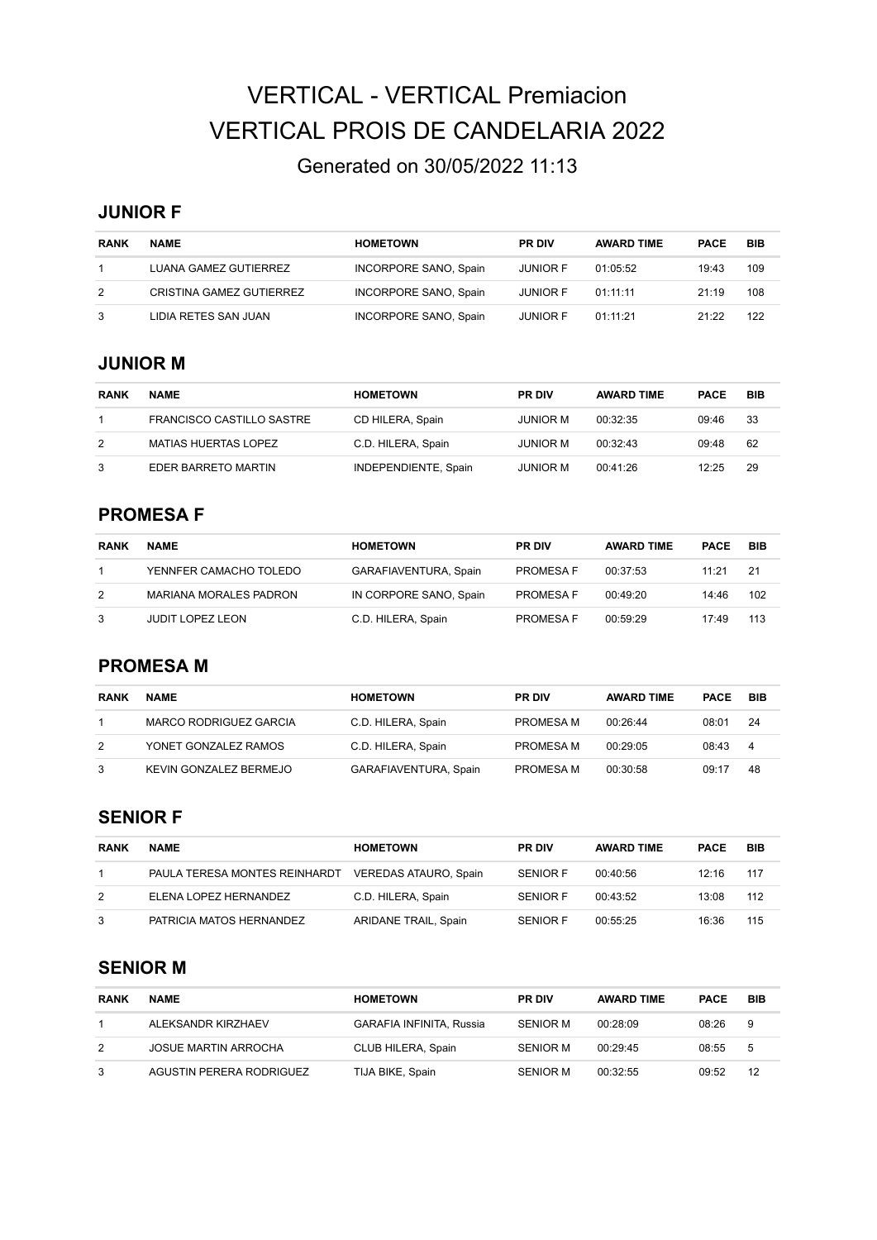# VERTICAL - VERTICAL Premiacion VERTICAL PROIS DE CANDELARIA 2022

# Generated on 30/05/2022 11:13

#### **JUNIOR F**

| <b>RANK</b> | <b>NAME</b>              | <b>HOMETOWN</b>       | <b>PR DIV</b>   | <b>AWARD TIME</b> | <b>PACE</b> | <b>BIB</b> |
|-------------|--------------------------|-----------------------|-----------------|-------------------|-------------|------------|
|             | LUANA GAMEZ GUTIERREZ    | INCORPORE SANO, Spain | <b>JUNIOR F</b> | 01:05:52          | 19:43       | 109        |
| 2           | CRISTINA GAMEZ GUTIERREZ | INCORPORE SANO, Spain | <b>JUNIOR F</b> | 01:11:11          | 21:19       | 108        |
| 3           | LIDIA RETES SAN JUAN     | INCORPORE SANO, Spain | <b>JUNIOR F</b> | 01:11:21          | 21:22       | 122        |

#### **JUNIOR M**

| <b>RANK</b> | <b>NAME</b>                 | <b>HOMETOWN</b>      | <b>PR DIV</b>   | <b>AWARD TIME</b> | <b>PACE</b> | <b>BIB</b> |
|-------------|-----------------------------|----------------------|-----------------|-------------------|-------------|------------|
|             | FRANCISCO CASTILLO SASTRE   | CD HILERA, Spain     | JUNIOR M        | 00:32:35          | 09:46       | 33         |
| 2           | <b>MATIAS HUERTAS LOPEZ</b> | C.D. HILERA, Spain   | JUNIOR M        | 00.32.43          | 09:48       | 62         |
|             | EDER BARRETO MARTIN         | INDEPENDIENTE, Spain | <b>JUNIOR M</b> | 00:41:26          | 12:25       | 29         |

#### **PROMESA F**

| <b>RANK</b> | <b>NAME</b>                   | <b>HOMETOWN</b>        | <b>PR DIV</b>    | <b>AWARD TIME</b> | <b>PACE</b> | BIB |
|-------------|-------------------------------|------------------------|------------------|-------------------|-------------|-----|
|             | YENNFER CAMACHO TOLEDO        | GARAFIAVENTURA, Spain  | <b>PROMESA F</b> | 00:37:53          | 11:21       | -21 |
| 2           | <b>MARIANA MORALES PADRON</b> | IN CORPORE SANO, Spain | PROMESA F        | 00:49:20          | 14:46       | 102 |
| 3           | JUDIT LOPEZ LEON              | C.D. HILERA, Spain     | PROMESA F        | 00:59:29          | 17:49       | 113 |

#### **PROMESA M**

| <b>RANK</b> | <b>NAME</b>            | <b>HOMETOWN</b>       | <b>PR DIV</b> | <b>AWARD TIME</b> | <b>PACE</b> | <b>BIB</b> |
|-------------|------------------------|-----------------------|---------------|-------------------|-------------|------------|
|             | MARCO RODRIGUEZ GARCIA | C.D. HILERA, Spain    | PROMESA M     | 00.26.44          | 08:01       | -24        |
| 2           | YONET GONZALEZ RAMOS   | C.D. HILERA, Spain    | PROMESA M     | 00:29:05          | 08:43       | 4          |
| 3           | KEVIN GONZALEZ BERMEJO | GARAFIAVENTURA, Spain | PROMESA M     | 00:30:58          | 09:17       | 48         |

#### **SENIOR F**

| <b>RANK</b> | <b>NAME</b>                   | <b>HOMETOWN</b>       | <b>PR DIV</b>   | <b>AWARD TIME</b> | <b>PACE</b> | BIB |
|-------------|-------------------------------|-----------------------|-----------------|-------------------|-------------|-----|
|             | PAULA TERESA MONTES REINHARDT | VEREDAS ATAURO, Spain | <b>SENIOR F</b> | 00:40:56          | 12:16       | 117 |
| 2           | ELENA LOPEZ HERNANDEZ         | C.D. HILERA, Spain    | <b>SENIOR F</b> | 00.43.52          | 13:08       | 112 |
| 3           | PATRICIA MATOS HERNANDEZ      | ARIDANE TRAIL, Spain  | <b>SENIOR F</b> | 00:55:25          | 16:36       | 115 |

#### **SENIOR M**

| <b>RANK</b> | <b>NAME</b>                 | <b>HOMETOWN</b>                 | <b>PR DIV</b>   | <b>AWARD TIME</b> | <b>PACE</b> | BIB |
|-------------|-----------------------------|---------------------------------|-----------------|-------------------|-------------|-----|
|             | ALEKSANDR KIRZHAEV          | <b>GARAFIA INFINITA, Russia</b> | SENIOR M        | 00:28:09          | 08:26       | 9   |
| 2           | <b>JOSUE MARTIN ARROCHA</b> | CLUB HILERA, Spain              | SENIOR M        | 00.29.45          | 08:55       | 5   |
| 3           | AGUSTIN PERERA RODRIGUEZ    | TIJA BIKE, Spain                | <b>SENIOR M</b> | 00:32:55          | 09:52       | 12  |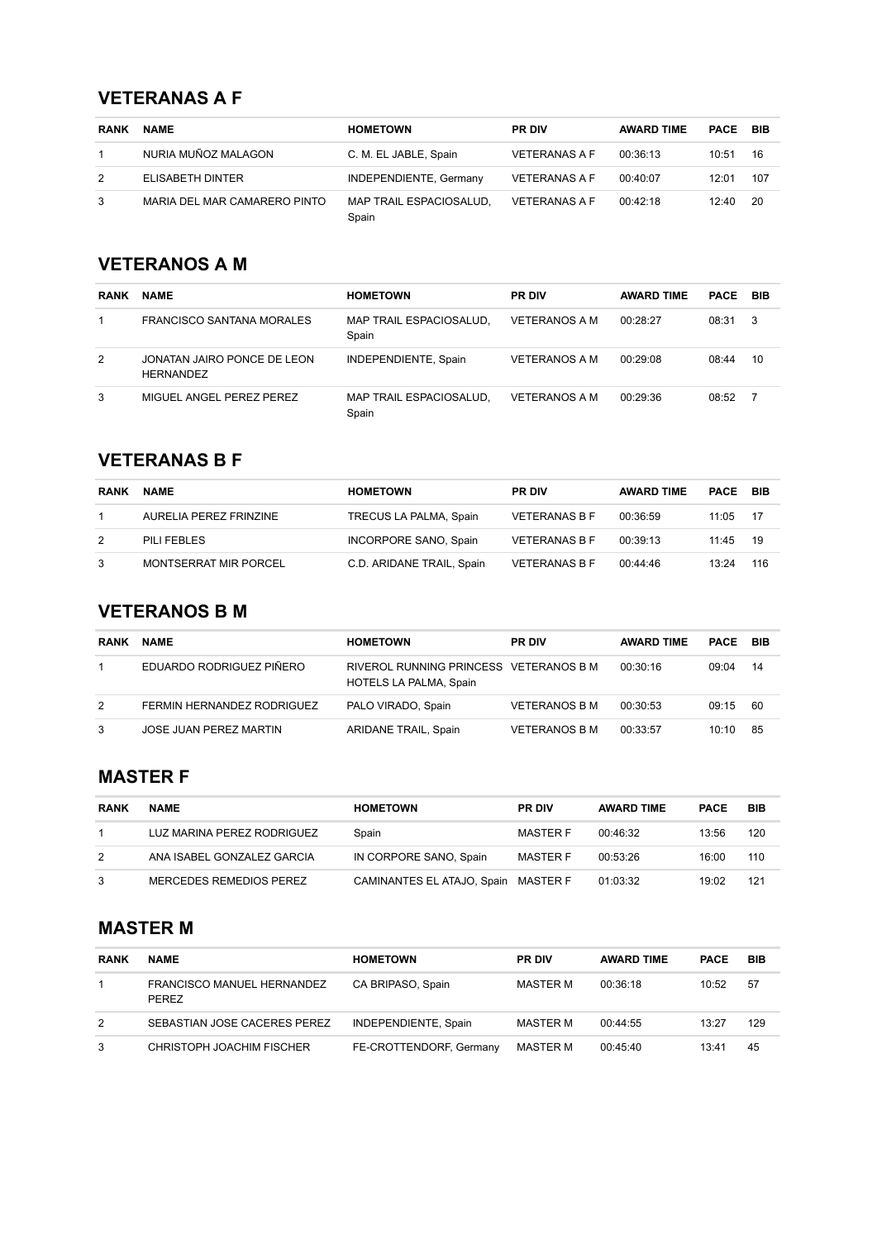## **VETERANAS A F**

| <b>RANK</b> | <b>NAME</b>                  | <b>HOMETOWN</b>                  | <b>PR DIV</b>        | <b>AWARD TIME</b> | <b>PACE BIB</b> |      |
|-------------|------------------------------|----------------------------------|----------------------|-------------------|-----------------|------|
|             | NURIA MUÑOZ MALAGON          | C. M. EL JABLE, Spain            | <b>VETERANAS A F</b> | 00:36:13          | 10:51           | 16   |
| 2           | ELISABETH DINTER             | INDEPENDIENTE, Germany           | <b>VETERANAS A F</b> | 00:40:07          | 12:01           | 107  |
| 3           | MARIA DEL MAR CAMARERO PINTO | MAP TRAIL ESPACIOSALUD.<br>Spain | <b>VETERANAS A F</b> | 00.42.18          | 12.40           | - 20 |

# **VETERANOS A M**

| <b>RANK</b> | <b>NAME</b>                                     | <b>HOMETOWN</b>                  | <b>PR DIV</b>        | <b>AWARD TIME</b> | <b>PACE BIB</b> |     |
|-------------|-------------------------------------------------|----------------------------------|----------------------|-------------------|-----------------|-----|
|             | FRANCISCO SANTANA MORALES                       | MAP TRAIL ESPACIOSALUD.<br>Spain | <b>VETERANOS A M</b> | 00:28:27          | 08:31           | - 3 |
| 2           | JONATAN JAIRO PONCE DE LEON<br><b>HERNANDEZ</b> | INDEPENDIENTE, Spain             | VETERANOS A M        | 00:29:08          | 08:44           | 10  |
| 3           | MIGUEL ANGEL PEREZ PEREZ                        | MAP TRAIL ESPACIOSALUD.<br>Spain | <b>VETERANOS A M</b> | 00:29:36          | 08:52           |     |

# **VETERANAS B F**

| <b>RANK</b> | <b>NAME</b>                  | <b>HOMETOWN</b>           | <b>PR DIV</b>        | <b>AWARD TIME</b> | <b>PACE BIB</b> |      |
|-------------|------------------------------|---------------------------|----------------------|-------------------|-----------------|------|
|             | AURELIA PEREZ FRINZINE       | TRECUS LA PALMA, Spain    | <b>VETERANAS B F</b> | 00:36:59          | 11:05           | - 17 |
| 2           | PILI FEBLES                  | INCORPORE SANO, Spain     | <b>VETERANAS B F</b> | 00:39:13          | 11:45           | - 19 |
| 3           | <b>MONTSERRAT MIR PORCEL</b> | C.D. ARIDANE TRAIL, Spain | <b>VETERANAS B F</b> | 00:44:46          | 13.24           | 116  |

# **VETERANOS B M**

| <b>RANK</b> | <b>NAME</b>                | <b>HOMETOWN</b>                                                  | <b>PR DIV</b>        | <b>AWARD TIME</b> | <b>PACE BIB</b> |     |
|-------------|----------------------------|------------------------------------------------------------------|----------------------|-------------------|-----------------|-----|
|             | EDUARDO RODRIGUEZ PIÑERO   | RIVEROL RUNNING PRINCESS VETERANOS B M<br>HOTELS LA PALMA, Spain |                      | 00:30:16          | 09.04           | -14 |
| 2           | FERMIN HERNANDEZ RODRIGUEZ | PALO VIRADO, Spain                                               | <b>VETERANOS B M</b> | 00:30:53          | 09:15           | -60 |
| 3           | JOSE JUAN PEREZ MARTIN     | ARIDANE TRAIL, Spain                                             | <b>VETERANOS B M</b> | 00:33:57          | 10:10           | -85 |

#### **MASTER F**

| <b>RANK</b> | <b>NAME</b>                | <b>HOMETOWN</b>                     | <b>PR DIV</b>   | <b>AWARD TIME</b> | <b>PACE</b> | <b>BIB</b> |
|-------------|----------------------------|-------------------------------------|-----------------|-------------------|-------------|------------|
|             | LUZ MARINA PEREZ RODRIGUEZ | Spain                               | <b>MASTER F</b> | 00:46:32          | 13:56       | 120        |
| 2           | ANA ISABEL GONZALEZ GARCIA | IN CORPORE SANO, Spain              | <b>MASTER F</b> | 00:53:26          | 16:00       | 110        |
| 3           | MERCEDES REMEDIOS PEREZ    | CAMINANTES EL ATAJO, Spain MASTER F |                 | 01:03:32          | 19:02       | 121        |

## **MASTER M**

| <b>RANK</b> | <b>NAME</b>                                | <b>HOMETOWN</b>         | <b>PR DIV</b> | <b>AWARD TIME</b> | <b>PACE</b> | BIB |
|-------------|--------------------------------------------|-------------------------|---------------|-------------------|-------------|-----|
|             | <b>FRANCISCO MANUEL HERNANDEZ</b><br>PEREZ | CA BRIPASO, Spain       | MASTER M      | 00:36:18          | 10:52       | 57  |
| 2           | SEBASTIAN JOSE CACERES PEREZ               | INDEPENDIENTE, Spain    | MASTER M      | 00:44:55          | 13:27       | 129 |
| 3           | CHRISTOPH JOACHIM FISCHER                  | FE-CROTTENDORF, Germany | MASTER M      | 00:45:40          | 13:41       | 45  |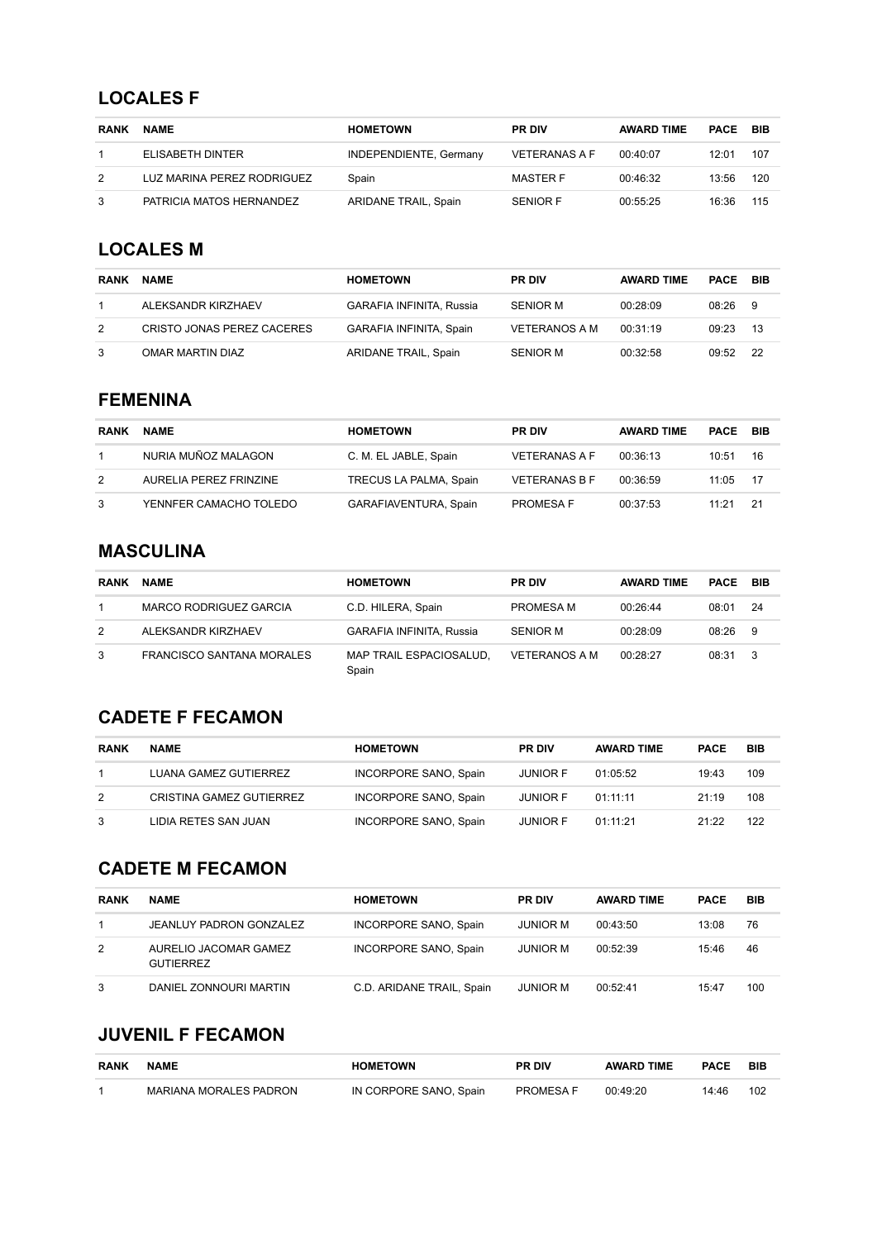### **LOCALES F**

| <b>RANK</b> | <b>NAME</b>                | <b>HOMETOWN</b>        | <b>PR DIV</b>        | <b>AWARD TIME</b> | PACE  | - BIB |
|-------------|----------------------------|------------------------|----------------------|-------------------|-------|-------|
|             | ELISABETH DINTER           | INDEPENDIENTE, Germany | <b>VETERANAS A F</b> | 00:40:07          | 12:01 | 107   |
| 2           | LUZ MARINA PEREZ RODRIGUEZ | Spain                  | MASTER F             | 00:46:32          | 13:56 | 120   |
| 3           | PATRICIA MATOS HERNANDEZ   | ARIDANE TRAIL, Spain   | <b>SENIOR F</b>      | 00:55:25          | 16:36 | 115   |

# **LOCALES M**

| <b>RANK</b> | <b>NAME</b>                | <b>HOMETOWN</b>                 | <b>PR DIV</b>        | <b>AWARD TIME</b> | PACE  | BIB  |
|-------------|----------------------------|---------------------------------|----------------------|-------------------|-------|------|
|             | ALEKSANDR KIRZHAEV         | <b>GARAFIA INFINITA, Russia</b> | <b>SENIOR M</b>      | 00:28:09          | 08.26 | - 9  |
| 2           | CRISTO JONAS PEREZ CACERES | GARAFIA INFINITA, Spain         | <b>VETERANOS A M</b> | 00:31:19          | 09:23 | -13  |
| 3           | OMAR MARTIN DIAZ           | ARIDANE TRAIL, Spain            | <b>SENIOR M</b>      | 00:32:58          | 09:52 | - 22 |

## **FEMENINA**

| <b>RANK</b> | <b>NAME</b>            | <b>HOMETOWN</b>        | <b>PR DIV</b>        | <b>AWARD TIME</b> | <b>PACE BIB</b> |      |
|-------------|------------------------|------------------------|----------------------|-------------------|-----------------|------|
|             | NURIA MUÑOZ MALAGON    | C. M. EL JABLE, Spain  | <b>VETERANAS A F</b> | 00:36:13          | 10:51           | 16   |
| 2           | AURELIA PEREZ FRINZINE | TRECUS LA PALMA, Spain | <b>VETERANAS B F</b> | 00:36:59          | 11:05           | - 17 |
| 3           | YENNFER CAMACHO TOLEDO | GARAFIAVENTURA, Spain  | <b>PROMESA F</b>     | 00:37:53          | 11.21           | -21  |

#### **MASCULINA**

| <b>RANK</b> | <b>NAME</b>                      | <b>HOMETOWN</b>                  | <b>PR DIV</b>        | <b>AWARD TIME</b> | PACE  | BIB |
|-------------|----------------------------------|----------------------------------|----------------------|-------------------|-------|-----|
|             | MARCO RODRIGUEZ GARCIA           | C.D. HILERA, Spain               | PROMESA M            | 00:26:44          | 08:01 | -24 |
| 2           | ALEKSANDR KIRZHAEV               | <b>GARAFIA INFINITA, Russia</b>  | <b>SENIOR M</b>      | 00:28:09          | 08:26 | - 9 |
| 3           | <b>FRANCISCO SANTANA MORALES</b> | MAP TRAIL ESPACIOSALUD.<br>Spain | <b>VETERANOS A M</b> | 00.28.27          | 08:31 | - 3 |

# **CADETE F FECAMON**

| <b>RANK</b> | <b>NAME</b>              | <b>HOMETOWN</b>       | <b>PR DIV</b>   | <b>AWARD TIME</b> | <b>PACE</b> | BIB |
|-------------|--------------------------|-----------------------|-----------------|-------------------|-------------|-----|
|             | LUANA GAMEZ GUTIERREZ    | INCORPORE SANO, Spain | <b>JUNIOR F</b> | 01:05:52          | 19:43       | 109 |
| 2           | CRISTINA GAMEZ GUTIERREZ | INCORPORE SANO, Spain | <b>JUNIOR F</b> | 01:11:11          | 21:19       | 108 |
|             | LIDIA RETES SAN JUAN     | INCORPORE SANO, Spain | <b>JUNIOR F</b> | 01:11:21          | 21:22       | 122 |

# **CADETE M FECAMON**

| <b>RANK</b> | <b>NAME</b>                        | <b>HOMETOWN</b>           | <b>PR DIV</b>   | <b>AWARD TIME</b> | <b>PACE</b> | BIB |
|-------------|------------------------------------|---------------------------|-----------------|-------------------|-------------|-----|
|             | JEANLUY PADRON GONZALEZ            | INCORPORE SANO, Spain     | <b>JUNIOR M</b> | 00:43:50          | 13:08       | 76  |
| 2           | AURELIO JACOMAR GAMEZ<br>GUTIERREZ | INCORPORE SANO, Spain     | <b>JUNIOR M</b> | 00:52:39          | 15:46       | 46  |
| 3           | DANIEL ZONNOURI MARTIN             | C.D. ARIDANE TRAIL, Spain | <b>JUNIOR M</b> | 00:52:41          | 15:47       | 100 |

## **JUVENIL F FECAMON**

| <b>RANK</b> | <b>NAME</b>            | <b>HOMETOWN</b>        | <b>PR DIV</b>    | <b>AWARD TIME</b> | <b>PACE</b> | BIB |
|-------------|------------------------|------------------------|------------------|-------------------|-------------|-----|
|             | MARIANA MORALES PADRON | IN CORPORE SANO, Spain | <b>PROMESA F</b> | 00:49:20          | 14:46       | 102 |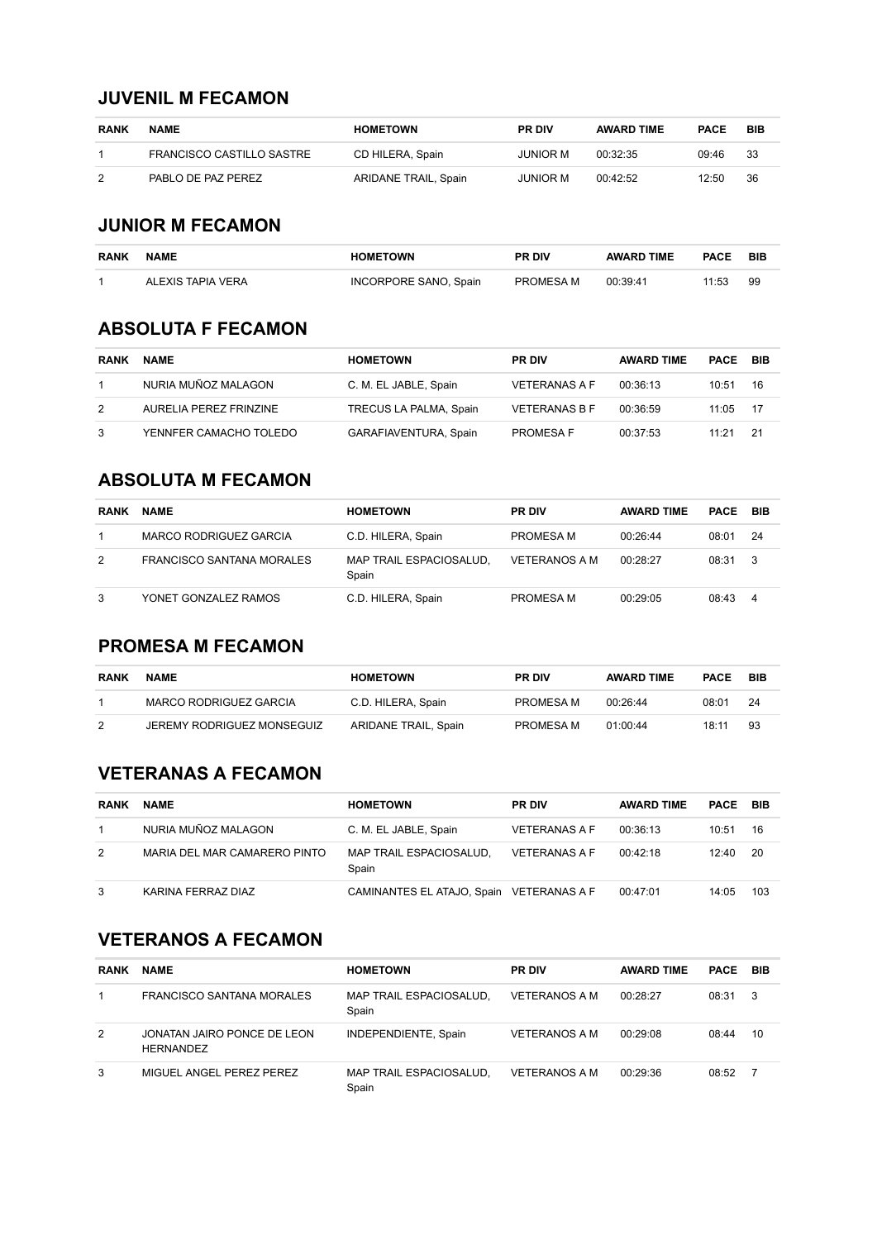#### **JUVENIL M FECAMON**

| <b>RANK</b> | <b>NAME</b>               | <b>HOMETOWN</b>      | <b>PR DIV</b> | <b>AWARD TIME</b> | <b>PACE</b> | BIB |
|-------------|---------------------------|----------------------|---------------|-------------------|-------------|-----|
|             | FRANCISCO CASTILLO SASTRE | CD HILERA, Spain     | JUNIOR M      | 00:32:35          | 09:46       | 33  |
| 2           | PABLO DE PAZ PEREZ        | ARIDANE TRAIL, Spain | JUNIOR M      | 00:42:52          | 12:50       | 36  |

### **JUNIOR M FECAMON**

| <b>RANK</b> | <b>NAME</b>       | <b>HOMETOWN</b>       | <b>PR DIV</b> | <b>AWARD TIME</b> | <b>PACE</b> | <b>BIB</b> |
|-------------|-------------------|-----------------------|---------------|-------------------|-------------|------------|
|             | ALEXIS TAPIA VERA | INCORPORE SANO, Spain | PROMESA M     | 00:39:41          | 11:53       | 99         |

#### **ABSOLUTA F FECAMON**

| <b>RANK</b> | <b>NAME</b>            | <b>HOMETOWN</b>        | <b>PR DIV</b>        | <b>AWARD TIME</b> | PACE  | - BIB |
|-------------|------------------------|------------------------|----------------------|-------------------|-------|-------|
|             | NURIA MUÑOZ MALAGON    | C. M. EL JABLE, Spain  | <b>VETERANAS A F</b> | 00:36:13          | 10:51 | 16    |
| 2           | AURELIA PEREZ FRINZINE | TRECUS LA PALMA, Spain | <b>VETERANAS B F</b> | 00:36:59          | 11:05 | - 17  |
| 3           | YENNFER CAMACHO TOLEDO | GARAFIAVENTURA, Spain  | <b>PROMESA F</b>     | 00:37:53          | 11:21 | 21    |

# **ABSOLUTA M FECAMON**

| <b>RANK</b> | <b>NAME</b>               | <b>HOMETOWN</b>                  | <b>PR DIV</b>        | <b>AWARD TIME</b> | PACE  | BIB |
|-------------|---------------------------|----------------------------------|----------------------|-------------------|-------|-----|
|             | MARCO RODRIGUEZ GARCIA    | C.D. HILERA, Spain               | PROMESA M            | 00:26:44          | 08:01 | -24 |
| 2           | FRANCISCO SANTANA MORALES | MAP TRAIL ESPACIOSALUD.<br>Spain | <b>VETERANOS A M</b> | 00:28:27          | 08:31 | - 3 |
| 3           | YONET GONZALEZ RAMOS      | C.D. HILERA, Spain               | PROMESA M            | 00:29:05          | 08:43 | -4  |

# **PROMESA M FECAMON**

| <b>RANK</b> | <b>NAME</b>                | <b>HOMETOWN</b>      | <b>PR DIV</b> | <b>AWARD TIME</b> | <b>PACE</b> | BIB |
|-------------|----------------------------|----------------------|---------------|-------------------|-------------|-----|
|             | MARCO RODRIGUEZ GARCIA     | C.D. HILERA, Spain   | PROMESA M     | 00.26.44          | 08:01       | -24 |
| 2           | JEREMY RODRIGUEZ MONSEGUIZ | ARIDANE TRAIL, Spain | PROMESA M     | 01:00:44          | 18:11       | 93  |

# **VETERANAS A FECAMON**

| <b>RANK</b> | <b>NAME</b>                  | <b>HOMETOWN</b>                          | <b>PR DIV</b>        | <b>AWARD TIME</b> | <b>PACE BIB</b> |      |
|-------------|------------------------------|------------------------------------------|----------------------|-------------------|-----------------|------|
|             | NURIA MUÑOZ MALAGON          | C. M. EL JABLE, Spain                    | <b>VETERANAS A F</b> | 00:36:13          | 10:51           | 16   |
| 2           | MARIA DEL MAR CAMARERO PINTO | MAP TRAIL ESPACIOSALUD.<br>Spain         | <b>VETERANAS A F</b> | 00.42.18          | 12:40           | - 20 |
| 3           | KARINA FERRAZ DIAZ           | CAMINANTES EL ATAJO, Spain VETERANAS A F |                      | 00:47:01          | 14:05           | 103  |

## **VETERANOS A FECAMON**

| <b>RANK</b> | <b>NAME</b>                                     | <b>HOMETOWN</b>                  | <b>PR DIV</b>        | <b>AWARD TIME</b> | PACE  | BIB            |
|-------------|-------------------------------------------------|----------------------------------|----------------------|-------------------|-------|----------------|
|             | FRANCISCO SANTANA MORALES                       | MAP TRAIL ESPACIOSALUD,<br>Spain | VETERANOS A M        | 00:28:27          | 08:31 | - 3            |
| 2           | JONATAN JAIRO PONCE DE LEON<br><b>HERNANDEZ</b> | INDEPENDIENTE, Spain             | <b>VETERANOS A M</b> | 00:29:08          | 08:44 | 10             |
| 3           | MIGUEL ANGEL PEREZ PEREZ                        | MAP TRAIL ESPACIOSALUD,<br>Spain | <b>VETERANOS A M</b> | 00:29:36          | 08:52 | $\overline{7}$ |